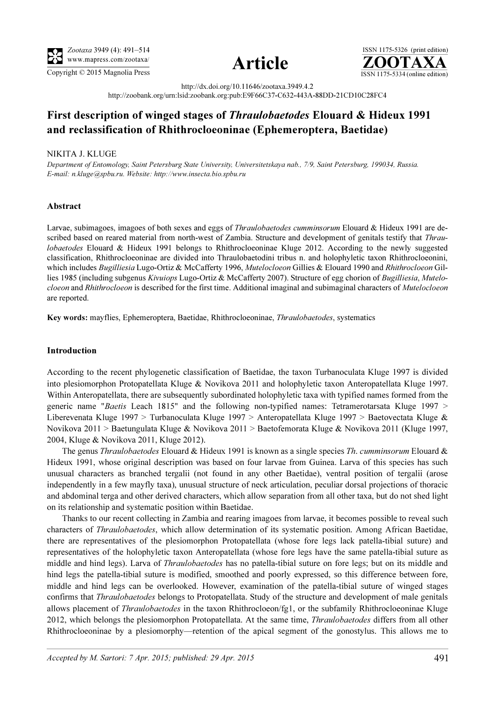





http://dx.doi.org/10.11646/zootaxa.3949.4.2 http://zoobank.org/urn:lsid:zoobank.org:pub:E9F66C37-C632-443A-88DD-21CD10C28FC4

# First description of winged stages of Thraulobaetodes Elouard & Hideux 1991 and reclassification of Rhithrocloeoninae (Ephemeroptera, Baetidae)

## NIKITA J. KLUGE

Department of Entomology, Saint Petersburg State University, Saint Petersburg, Saint Petersburg, 199034, Saint<br>E-mail: 11 kluga@sphu ru. Wabsita: http://prope.ipsecta.hio.sphu ru E-mail: n.kluge@spbu.ru. Website: http://www.insecta.bio.spbu.ru

## Abstract

Larvae, subimagoes, imagoes of both sexes and eggs of *Thraulobaetodes cumminsorum* Elouard & Hideux 1991 are described based on reared material from north-west of Zambia. Structure and development of genitals testify that Thraulobaetodes Elouard & Hideux 1991 belongs to Rhithrocloeoninae Kluge 2012. According to the newly suggested classification, Rhithrocloeoninae are divided into Thraulobaetodini tribus n. and holophyletic taxon Rhithrocloeonini, which includes Bugilliesia Lugo-Ortiz & McCafferty 1996, Mutelocloeon Gillies & Elouard 1990 and Rhithrocloeon Gillies 1985 (including subgenus Kivuiops Lugo-Ortiz & McCafferty 2007). Structure of egg chorion of Bugilliesia, Mutelocloeon and Rhithrocloeon is described for the first time. Additional imaginal and subimaginal characters of Mutelocloeon are reported.

Key words: mayflies, Ephemeroptera, Baetidae, Rhithrocloeoninae, Thraulobaetodes, systematics

#### Introduction

According to the recent phylogenetic classification of Baetidae, the taxon Turbanoculata Kluge 1997 is divided into plesiomorphon Protopatellata Kluge & Novikova 2011 and holophyletic taxon Anteropatellata Kluge 1997. Within Anteropatellata, there are subsequently subordinated holophyletic taxa with typified names formed from the generic name "*Baetis* Leach 1815" and the following non-typified names: Tetramerotarsata Kluge 1997  $>$ Liberevenata Kluge 1997 > Turbanoculata Kluge 1997 > Anteropatellata Kluge 1997 > Baetovectata Kluge & Novikova 2011 > Baetungulata Kluge & Novikova 2011 > Baetofemorata Kluge & Novikova 2011 (Kluge 1997, 2004, Kluge & Novikova 2011, Kluge 2012).

The genus *Thraulobaetodes* Elouard & Hideux 1991 is known as a single species *Th. cumminsorum* Elouard & Hideux 1991, whose original description was based on four larvae from Guinea. Larva of this species has such unusual characters as branched tergalii (not found in any other Baetidae), ventral position of tergalii (arose independently in a few mayfly taxa), unusual structure of neck articulation, peculiar dorsal projections of thoracic and abdominal terga and other derived characters, which allow separation from all other taxa, but do not shed light on its relationship and systematic position within Baetidae.

Thanks to our recent collecting in Zambia and rearing imagoes from larvae, it becomes possible to reveal such characters of Thraulobaetodes, which allow determination of its systematic position. Among African Baetidae, there are representatives of the plesiomorphon Protopatellata (whose fore legs lack patella-tibial suture) and representatives of the holophyletic taxon Anteropatellata (whose fore legs have the same patella-tibial suture as middle and hind legs). Larva of Thraulobaetodes has no patella-tibial suture on fore legs; but on its middle and hind legs the patella-tibial suture is modified, smoothed and poorly expressed, so this difference between fore, middle and hind legs can be overlooked. However, examination of the patella-tibial suture of winged stages confirms that *Thraulobaetodes* belongs to Protopatellata. Study of the structure and development of male genitals allows placement of *Thraulobaetodes* in the taxon Rhithrocloeon/fg1, or the subfamily Rhithrocloeoninae Kluge 2012, which belongs the plesiomorphon Protopatellata. At the same time, *Thraulobaetodes* differs from all other Rhithrocloeoninae by a plesiomorphy—retention of the apical segment of the gonostylus. This allows me to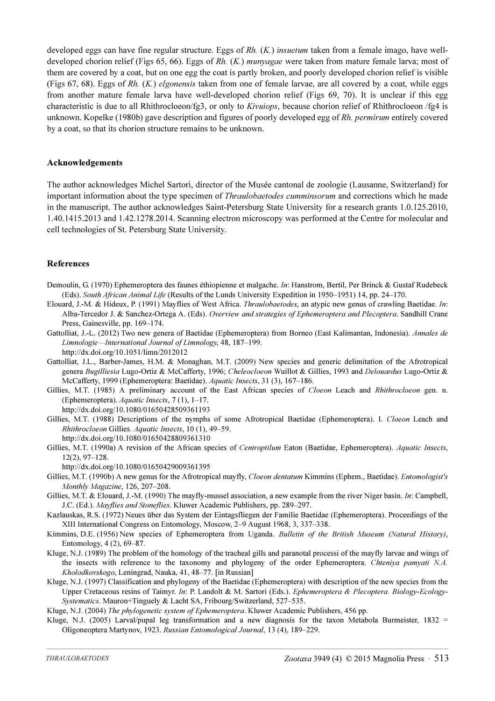developed eggs can have fine regular structure. Eggs of  $Rh$ .  $(K)$  insuetum taken from a female imago, have welldeveloped chorion relief (Figs 65, 66). Eggs of Rh. (K.) munyagae were taken from mature female larva; most of them are covered by a coat, but on one egg the coat is partly broken, and poorly developed chorion relief is visible (Figs 67, 68). Eggs of Rh.  $(K)$  elgonensis taken from one of female larvae, are all covered by a coat, while eggs from another mature female larva have well-developed chorion relief (Figs 69, 70). It is unclear if this egg characteristic is due to all Rhithrocloeon/fg3, or only to Kivuiops, because chorion relief of Rhithrocloeon /fg4 is unknown. Kopelke (1980b) gave description and figures of poorly developed egg of Rh. permirum entirely covered by a coat, so that its chorion structure remains to be unknown.

#### Acknowledgements

The author acknowledges Michel Sartori, director of the Musée cantonal de zoologie (Lausanne, Switzerland) for important information about the type specimen of *Thraulobaetodes cumminsorum* and corrections which he made in the manuscript. The author acknowledges Saint-Petersburg State University for a research grants 1.0.125.2010, 1.40.1415.2013 and 1.42.1278.2014. Scanning electron microscopy was performed at the Centre for molecular and cell technologies of St. Petersburg State University.

### References

- Demoulin, G. (1970) Ephemeroptera des faunes éthiopienne et malgache. In: Hanstrom, Bertil, Per Brinck & Gustaf Rudebeck (Eds). South African Animal Life (Results of the Lunds University Expedition in 1950–1951) 14, pp. 24–170.
- Elouard, J.-M. & Hideux, P. (1991) Mayflies of West Africa. *Thraulobaetodes*, an atypic new genus of crawling Baetidae. *In*: Alba-Tercedor J. & Sanchez-Ortega A. (Eds). Overview and strategies of Ephemeroptera and Plecoptera. Sandhill Crane Press, Gainesville, pp. 169–174.
- Gattolliat, J.-L. (2012) Two new genera of Baetidae (Ephemeroptera) from Borneo (East Kalimantan, Indonesia). Annales de Limnologie—International Journal of Limnology, 48, 187–199. http://dx.doi.org/10.1051/limn/2012012
- Gattolliat, J.L., Barber-James, H.M. & Monaghan, M.T. (2009) New species and generic delimitation of the Afrotropical genera Bugilliesia Lugo-Ortiz & McCafferty, 1996; Cheleocloeon Wuillot & Gillies, 1993 and Delouardus Lugo-Ortiz & McCafferty, 1999 (Ephemeroptera: Baetidae). Aquatic Insects, 31 (3), 167–186.
- Gillies, M.T. (1985) A preliminary account of the East African species of Cloeon Leach and Rhithrocloeon gen. n. (Ephemeroptera). Aquatic Insects, 7 (1), 1–17. http://dx.doi.org/10.1080/01650428509361193
- Gillies, M.T. (1988) Descriptions of the nymphs of some Afrotropical Baetidae (Ephemeroptera). I. Cloeon Leach and Rhithrocloeon Gillies. Aquatic Insects, 10 (1), 49–59. http://dx.doi.org/10.1080/01650428809361310
- Gillies, M.T. (1990a) A revision of the African species of Centroptilum Eaton (Baetidae, Ephemeroptera). Aquatic Insects, 12(2), 97–128.

http://dx.doi.org/10.1080/01650429009361395

- Gillies, M.T. (1990b) A new genus for the Afrotropical mayfly, Cloeon dentatum Kimmins (Ephem., Baetidae). Entomologist's Monthly Magazine, 126, 207–208.
- Gillies, M.T. & Elouard, J.-M. (1990) The mayfly-mussel association, a new example from the river Niger basin. In: Campbell, J.C. (Ed.). Mayflies and Stoneflies. Kluwer Academic Publishers, pp. 289–297.
- Kazlauskas, R.S. (1972) Neues über das System der Eintagsfliegen der Familie Baetidae (Ephemeroptera). Proceedings of the XIII International Congress on Entomology, Moscow, 2–9 August 1968, 3, 337–338.
- Kimmins, D.E. (1956) New species of Ephemeroptera from Uganda. Bulletin of the British Museum (Natural History), Entomology, 4 (2), 69–87.
- Kluge, N.J. (1989) The problem of the homology of the tracheal gills and paranotal processi of the mayfly larvae and wings of the insects with reference to the taxonomy and phylogeny of the order Ephemeroptera. Chteniya pamyati N.A. Kholodkovskogo, Leningrad, Nauka, 41, 48–77. [in Russian]
- Kluge, N.J. (1997) Classification and phylogeny of the Baetidae (Ephemeroptera) with description of the new species from the Upper Cretaceous resins of Taimyr. In: P. Landolt & M. Sartori (Eds.). Ephemeroptera & Plecoptera. Biology-Ecology-Systematics. Mauron+Tinguely & Lacht SA, Fribourg/Switzerland, 527–535.

Kluge, N.J. (2004) The phylogenetic system of Ephemeroptera. Kluwer Academic Publishers, 456 pp.

Kluge, N.J. (2005) Larval/pupal leg transformation and a new diagnosis for the taxon Metabola Burmeister, 1832 = Oligoneoptera Martynov, 1923. Russian Entomological Journal, 13 (4), 189–229.